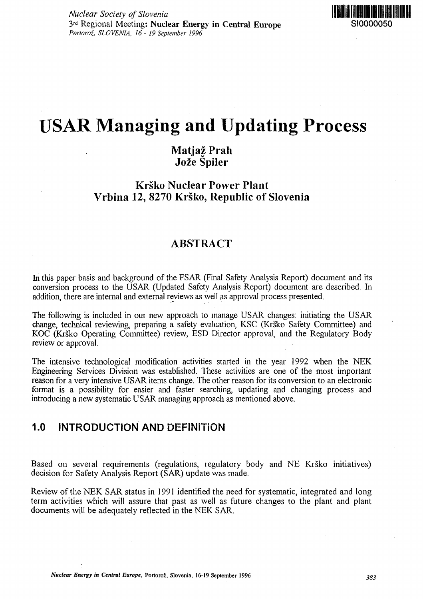

# USAR Managing and Updating Process

# **Matjaz Prah Joze Spiler**

## **Krsko Nuclear Power Plant Vrbina 12, 8270 Krsko, Republic of Slovenia**

## **ABSTRACT**

In this paper basis and background of the FSAR (Final Safety Analysis Report) document and its conversion process to the USAR (Updated Safety Analysis Report) document are described. In addition, there are internal and external reviews as well *as* approval process presented.

The following is included in our new approach to manage USAR changes: initiating the USAR change, technical reviewing, preparing a safety evaluation, KSC (Krsko Safety Committee) and KOC (Krsko Operating Committee) review, ESD Director approval, and the Regulatory Body review or approval.

The intensive technological modification activities started in the year 1992 when the NEK Engineering Services Division was established. These activities are one of the most important reason for a very intensive USAR items change. The other reason for its conversion to an electronic format is a possibility for easier and faster searching, updating and changing process and introducing a new systematic USAR managing approach as mentioned above.

## **1.0 INTRODUCTION AND DEFINITION**

Based on several requirements (regulations, regulatory body and NE Krško initiatives) decision for Safety Analysis Report (SAR) update was made.

Review of the NEK SAR status in 1991 identified the need for systematic, integrated and long term activities which will assure that past as well as future changes to the plant and plant documents will be adequately reflected in the NEK SAR.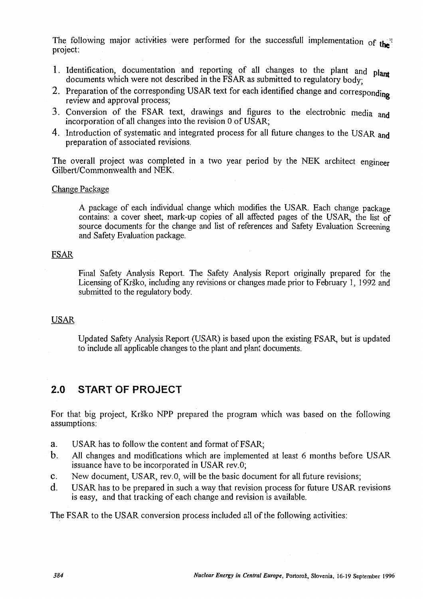The following major activities were performed for the successfull implementation of the project:

- 1. Identification, documentation and reporting of all changes to the plant and plant documents which were not described in the FSAR as submitted to regulatory body;
- 2. Preparation of the corresponding USAR text for each identified change and corresponding review and approval process;
- 3. Conversion of the FSAR text, drawings and figures to the electrobnic media and incorporation of all changes into the revision 0 of USAR;
- 4. Introduction of systematic and integrated process for all future changes to the USAR and preparation of associated revisions.

The overall project was completed in a two year period by the NEK architect engineer Gilbert/Commonwealth and NEK.

#### Change Package

A package of each individual change which modifies the USAR. Each change package contains: a cover sheet, mark-up copies of all affected pages of the USAR, the list of source documents for the change and list of references and Safety Evaluation Screening and Safety Evaluation package.

#### FSAR

Final Safety Analysis Report. The Safety Analysis Report originally prepared for the Licensing of Krsko, including any revisions or changes made prior to February 1, 1992 and submitted to the regulatory body.

#### USAR

Updated Safety Analysis Report (USAR) is based upon the existing FSAR, but is updated to include all applicable changes to the plant and plant documents.

## **2.0 START OF PROJECT**

For that big project, Krsko NPP prepared the program which was based on the following assumptions:

- a. USAR has to follow the content and format of FSAR;
- b. All changes and modifications which are implemented at least 6 months before USAR issuance have to be incorporated in USAR rev.O;
- C. New document, USAR, rev.O, will be the basic document for all future revisions;
- d. USAR has to be prepared in such a way that revision process for future USAR revisions is easy, and that tracking of each change and revision is available.

The FSAR to the USAR conversion process included all of the following activities: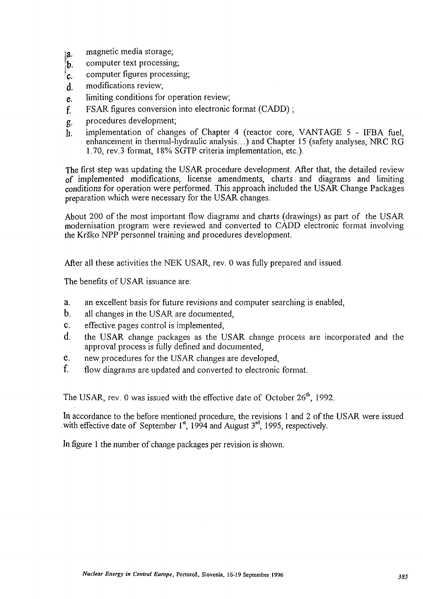- **ig.** magnetic media storage;
- $\mathbf{b}$ , computer text processing;
- $\epsilon_c$  computer figures processing;
- d. modifications review;
- e. limiting conditions for operation review;
- f FSAR figures conversion into electronic format (CADD);
- g. procedures development;
- $\tilde{h}$ . implementation of changes of Chapter 4 (reactor core, VANTAGE 5 IFBA fuel, enhancement in thermal-hydraulic analysis...) and Chapter 15 (safety analyses, NRC RG 1.70, rev.3 format, 18% SGTP criteria implementation, etc.).

The first step was updating the USAR procedure development. After that, the detailed review of implemented modifications, license amendments, charts and diagrams and limiting conditions for operation were performed. This approach included the USAR Change Packages preparation which were necessary for the USAR changes.

About 200 of the most important flow diagrams and charts (drawings) as part of the USAR modernisation program were reviewed and converted to CADD electronic format involving the Krsko NPP personnel training and procedures development.

After all these activities the NEK USAR, rev. 0 was fully prepared and issued.

The benefits of USAR issuance are:

- a. an excellent basis for future revisions and computer searching is enabled,
- b. all changes in the USAR are documented,
- C. effective pages control is implemented,
- d. the USAR change packages as the USAR change process are incorporated and the approval process is fully defined and documented,
- e. new procedures for the USAR changes are developed,
- f. flow diagrams are updated and converted to electronic format.

The USAR, rev. 0 was issued with the effective date of October  $26<sup>th</sup>$ , 1992.

In accordance to the before mentioned procedure, the revisions 1 and 2 of the USAR were issued with effective date of September  $1^{st}$ , 1994 and August  $3^{rd}$ , 1995, respectively.

In figure 1 the number of change packages per revision is shown.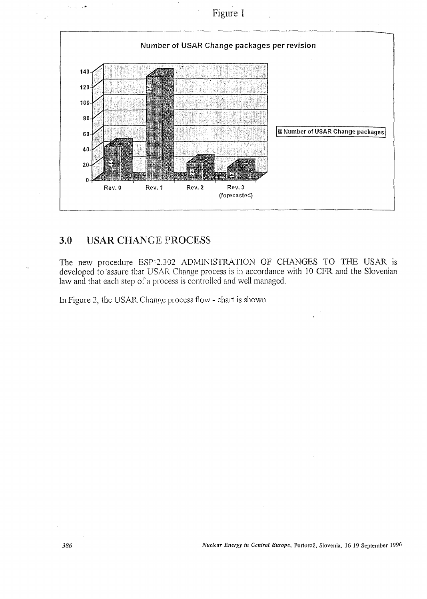Figure 1



### 3.0 USAR CHANGE PROCESS

فتراب  $\sim$   $\star$ 

The new procedure ESP-2.302 ADMINISTRATION OF CHANGES TO THE USAR is developed to assure that USAR Change process is in accordance with 10 CFR and the Slovenian law and that each step of a process is controlled and well managed.

In Figure 2, the USAR Change process flow - chart is shown.

*386 Nuclear Energy in Central Europe,* Portoroz, Slovenia, 16-19 September 1996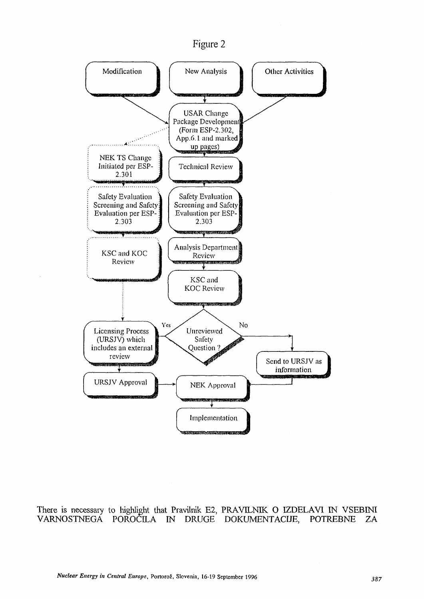Figure 2



There is necessary to highlight that Pravilnik E2, PRAVILNIK O IZDELAVI IN VSEBINI VARNOSTNEGA POROCILA IN DRUGE DOKUMENTACIJE, POTREBNE ZA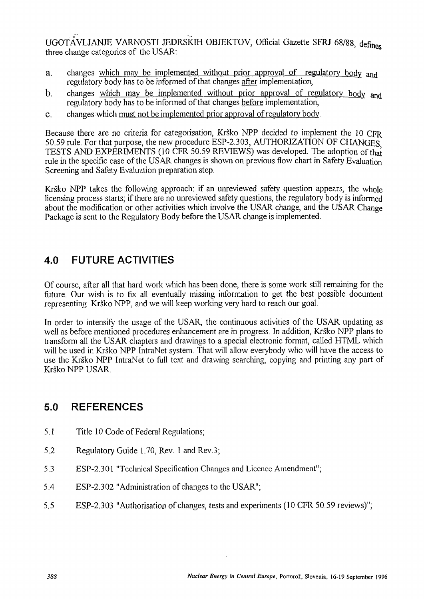UGOTAVLJANJE VARNOSTI JEDRSKIH OBJEKTOV, Official Gazette SFRJ 68/88, defines three change categories of the USAR:

- a. changes which may be implemented without prior approval of regulatory body and regulatory body has to be informed of that changes after implementation,
- b. changes which may be implemented without prior approval of regulatory body and regulatory body has to be informed of that changes before implementation,
- C. changes which must not be implemented prior approval of regulatory body.

Because there are no criteria for categorisation, Krsko NPP decided to implement the 10 CFR 50.59 rule. For that purpose, the new procedure ESP-2.303, AUTHORIZATION OF CHANGES TESTS AND EXPERIMENTS (10 CFR 50.59 REVIEWS) was developed. The adoption of that rule in the specific case of the USAR changes is shown on previous flow chart in Safety Evaluation Screening and Safety Evaluation preparation step.

Krško NPP takes the following approach: if an unreviewed safety question appears, the whole licensing process starts; if there are no unreviewed safety questions, the regulatory body is informed about the modification or other activities which involve the USAR change, and the USAR Change Package is sent to the Regulatory Body before the USAR change is implemented.

# **4.0 FUTURE ACTIVITIES**

Of course, after all that hard work which has been done, there is some work still remaining for the future. Our wish is to fix all eventually missing information to get the best possible document representing Krsko NPP, and we will keep working very hard to reach our goal.

In order to intensify the usage of the USAR, the continuous activities of the USAR updating as well as before mentioned procedures enhancement are in progress. In addition, Krsko NPP plans to transform all the USAR chapters and drawings to a special electronic format, called HTML which will be used in Krsko NPP IntraNet system. That will allow everybody who will have the access to use the Krsko NPP IntraNet to full text and drawing searching, copying and printing any part of Krsko NPP USAR.

## **5.0 REFERENCES**

- 5.1 Title 10 Code of Federal Regulations;
- 5.2 Regulatory Guide 1.70, Rev. 1 and Rev.3;
- 5.3 ESP-2.301 "Technical Specification Changes and Licence Amendment";
- 5.4 ESP-2.302 "Administration of changes to the USAR";
- 5.5 ESP-2.303 "Authorisation of changes, tests and experiments (10 CFR 50.59 reviews)";